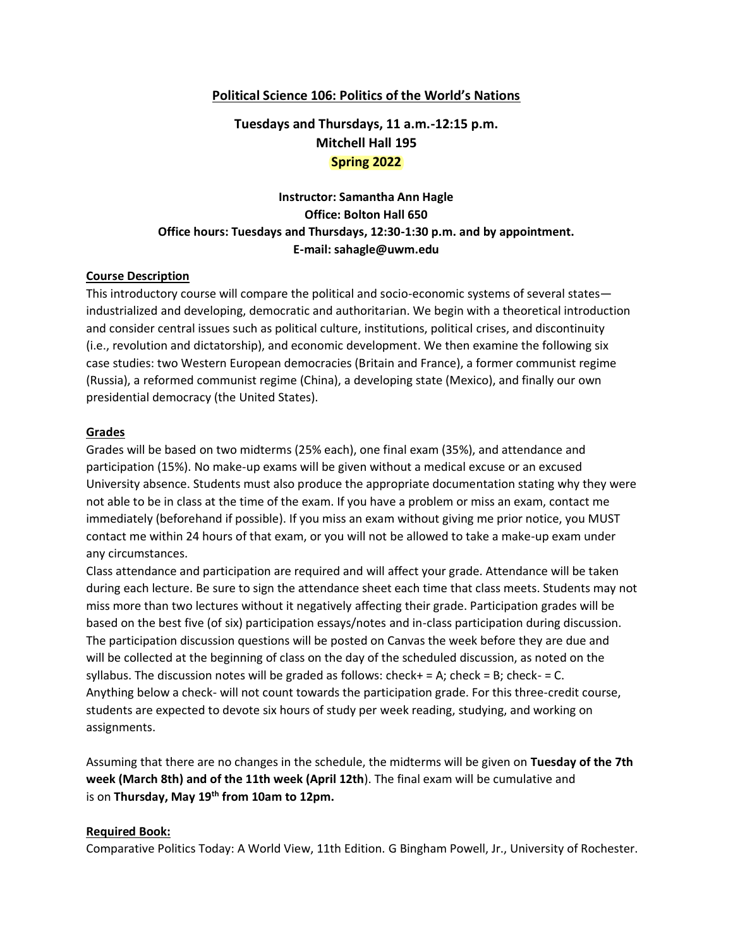#### **Political Science 106: Politics of the World's Nations**

# **Tuesdays and Thursdays, 11 a.m.-12:15 p.m. Mitchell Hall 195 Spring 2022**

# **Instructor: Samantha Ann Hagle Office: Bolton Hall 650 Office hours: Tuesdays and Thursdays, 12:30-1:30 p.m. and by appointment. E-mail: sahagle@uwm.edu**

#### **Course Description**

This introductory course will compare the political and socio-economic systems of several states industrialized and developing, democratic and authoritarian. We begin with a theoretical introduction and consider central issues such as political culture, institutions, political crises, and discontinuity (i.e., revolution and dictatorship), and economic development. We then examine the following six case studies: two Western European democracies (Britain and France), a former communist regime (Russia), a reformed communist regime (China), a developing state (Mexico), and finally our own presidential democracy (the United States).

#### **Grades**

Grades will be based on two midterms (25% each), one final exam (35%), and attendance and participation (15%). No make-up exams will be given without a medical excuse or an excused University absence. Students must also produce the appropriate documentation stating why they were not able to be in class at the time of the exam. If you have a problem or miss an exam, contact me immediately (beforehand if possible). If you miss an exam without giving me prior notice, you MUST contact me within 24 hours of that exam, or you will not be allowed to take a make-up exam under any circumstances.

Class attendance and participation are required and will affect your grade. Attendance will be taken during each lecture. Be sure to sign the attendance sheet each time that class meets. Students may not miss more than two lectures without it negatively affecting their grade. Participation grades will be based on the best five (of six) participation essays/notes and in-class participation during discussion. The participation discussion questions will be posted on Canvas the week before they are due and will be collected at the beginning of class on the day of the scheduled discussion, as noted on the syllabus. The discussion notes will be graded as follows: check+ = A; check = B; check- = C. Anything below a check- will not count towards the participation grade. For this three-credit course, students are expected to devote six hours of study per week reading, studying, and working on assignments.

Assuming that there are no changes in the schedule, the midterms will be given on **Tuesday of the 7th week (March 8th) and of the 11th week (April 12th**). The final exam will be cumulative and is on **Thursday, May 19th from 10am to 12pm.**

#### **Required Book:**

Comparative Politics Today: A World View, 11th Edition. G Bingham Powell, Jr., University of Rochester.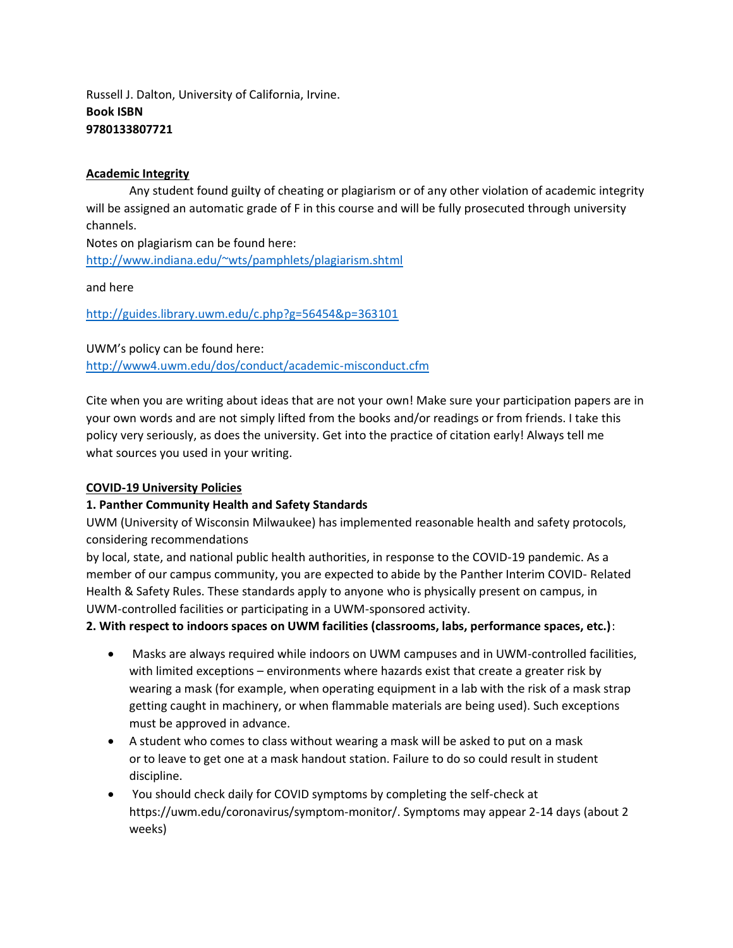Russell J. Dalton, University of California, Irvine. **Book ISBN 9780133807721** 

#### **Academic Integrity**

Any student found guilty of cheating or plagiarism or of any other violation of academic integrity will be assigned an automatic grade of F in this course and will be fully prosecuted through university channels.

Notes on plagiarism can be found here: <http://www.indiana.edu/~wts/pamphlets/plagiarism.shtml>

and here

<http://guides.library.uwm.edu/c.php?g=56454&p=363101>

UWM's policy can be found here: <http://www4.uwm.edu/dos/conduct/academic-misconduct.cfm>

Cite when you are writing about ideas that are not your own! Make sure your participation papers are in your own words and are not simply lifted from the books and/or readings or from friends. I take this policy very seriously, as does the university. Get into the practice of citation early! Always tell me what sources you used in your writing.

## **COVID-19 University Policies**

## **1. Panther Community Health and Safety Standards**

UWM (University of Wisconsin Milwaukee) has implemented reasonable health and safety protocols, considering recommendations

by local, state, and national public health authorities, in response to the COVID-19 pandemic. As a member of our campus community, you are expected to abide by the Panther Interim COVID- Related Health & Safety Rules. These standards apply to anyone who is physically present on campus, in UWM-controlled facilities or participating in a UWM-sponsored activity.

#### **2. With respect to indoors spaces on UWM facilities (classrooms, labs, performance spaces, etc.)**:

- Masks are always required while indoors on UWM campuses and in UWM-controlled facilities, with limited exceptions – environments where hazards exist that create a greater risk by wearing a mask (for example, when operating equipment in a lab with the risk of a mask strap getting caught in machinery, or when flammable materials are being used). Such exceptions must be approved in advance.
- A student who comes to class without wearing a mask will be asked to put on a mask or to leave to get one at a mask handout station. Failure to do so could result in student discipline.
- You should check daily for COVID symptoms by completing the self-check at https://uwm.edu/coronavirus/symptom-monitor/. Symptoms may appear 2-14 days (about 2 weeks)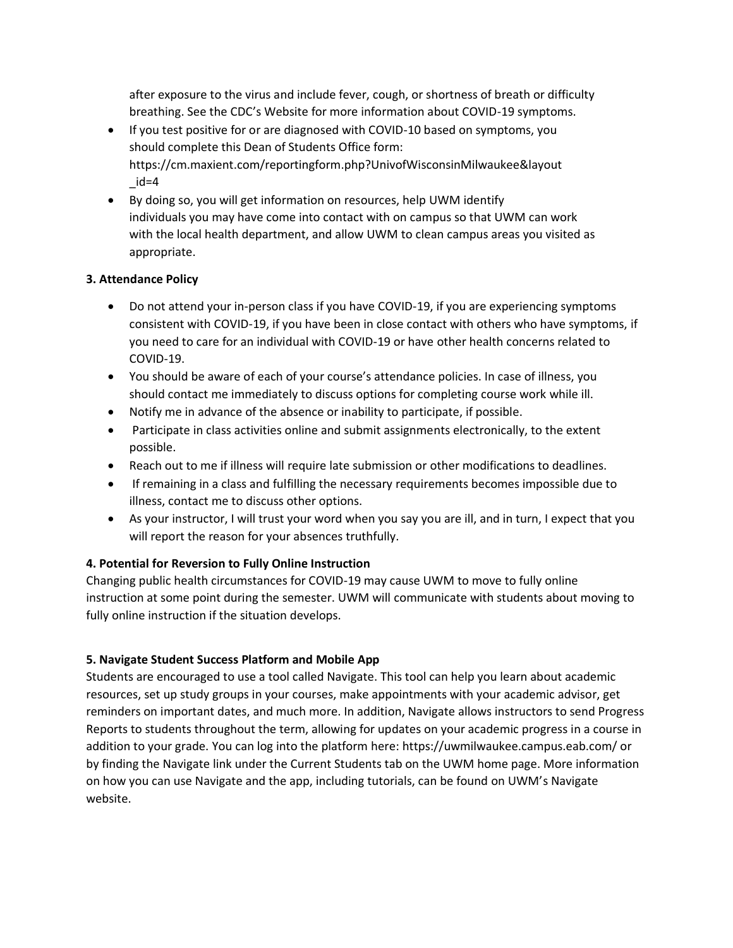after exposure to the virus and include fever, cough, or shortness of breath or difficulty breathing. See the CDC's Website for more information about COVID-19 symptoms.

- If you test positive for or are diagnosed with COVID-10 based on symptoms, you should complete this Dean of Students Office form: https://cm.maxient.com/reportingform.php?UnivofWisconsinMilwaukee&layout  $id = 4$
- By doing so, you will get information on resources, help UWM identify individuals you may have come into contact with on campus so that UWM can work with the local health department, and allow UWM to clean campus areas you visited as appropriate.

## **3. Attendance Policy**

- Do not attend your in-person class if you have COVID-19, if you are experiencing symptoms consistent with COVID-19, if you have been in close contact with others who have symptoms, if you need to care for an individual with COVID-19 or have other health concerns related to COVID-19.
- You should be aware of each of your course's attendance policies. In case of illness, you should contact me immediately to discuss options for completing course work while ill.
- Notify me in advance of the absence or inability to participate, if possible.
- Participate in class activities online and submit assignments electronically, to the extent possible.
- Reach out to me if illness will require late submission or other modifications to deadlines.
- If remaining in a class and fulfilling the necessary requirements becomes impossible due to illness, contact me to discuss other options.
- As your instructor, I will trust your word when you say you are ill, and in turn, I expect that you will report the reason for your absences truthfully.

## **4. Potential for Reversion to Fully Online Instruction**

Changing public health circumstances for COVID-19 may cause UWM to move to fully online instruction at some point during the semester. UWM will communicate with students about moving to fully online instruction if the situation develops.

## **5. Navigate Student Success Platform and Mobile App**

Students are encouraged to use a tool called Navigate. This tool can help you learn about academic resources, set up study groups in your courses, make appointments with your academic advisor, get reminders on important dates, and much more. In addition, Navigate allows instructors to send Progress Reports to students throughout the term, allowing for updates on your academic progress in a course in addition to your grade. You can log into the platform here: https://uwmilwaukee.campus.eab.com/ or by finding the Navigate link under the Current Students tab on the UWM home page. More information on how you can use Navigate and the app, including tutorials, can be found on UWM's Navigate website.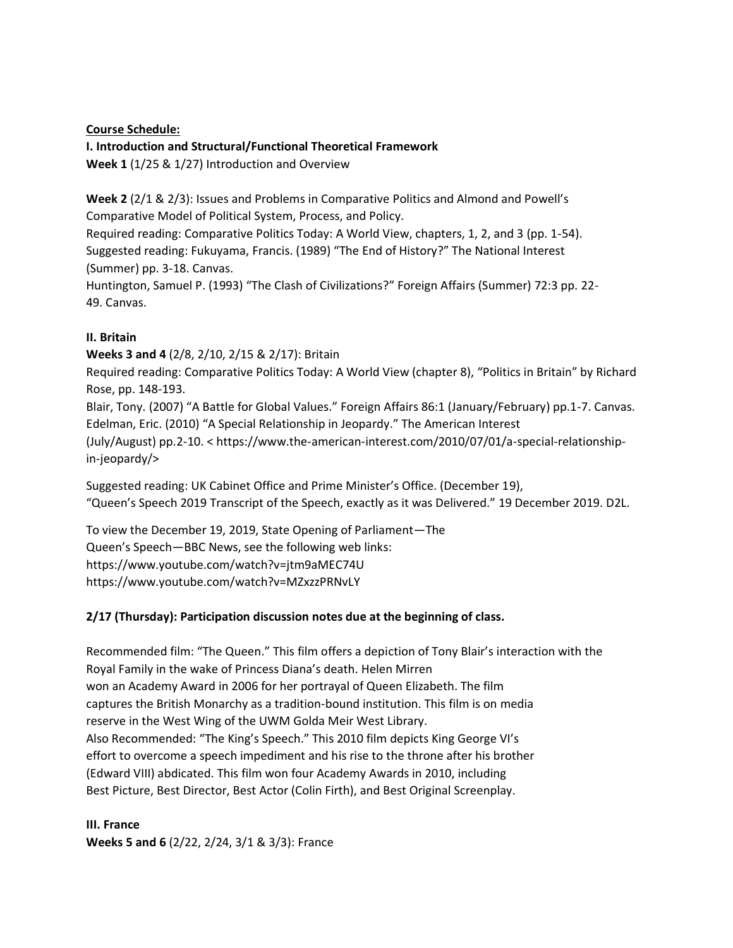#### **Course Schedule:**

#### **I. Introduction and Structural/Functional Theoretical Framework**

**Week 1** (1/25 & 1/27) Introduction and Overview

**Week 2** (2/1 & 2/3): Issues and Problems in Comparative Politics and Almond and Powell's Comparative Model of Political System, Process, and Policy.

Required reading: Comparative Politics Today: A World View, chapters, 1, 2, and 3 (pp. 1-54). Suggested reading: Fukuyama, Francis. (1989) "The End of History?" The National Interest (Summer) pp. 3-18. Canvas.

Huntington, Samuel P. (1993) "The Clash of Civilizations?" Foreign Affairs (Summer) 72:3 pp. 22- 49. Canvas.

## **II. Britain**

**Weeks 3 and 4** (2/8, 2/10, 2/15 & 2/17): Britain

Required reading: Comparative Politics Today: A World View (chapter 8), "Politics in Britain" by Richard Rose, pp. 148-193.

Blair, Tony. (2007) "A Battle for Global Values." Foreign Affairs 86:1 (January/February) pp.1-7. Canvas. Edelman, Eric. (2010) "A Special Relationship in Jeopardy." The American Interest (July/August) pp.2-10. < https://www.the-american-interest.com/2010/07/01/a-special-relationshipin-jeopardy/>

Suggested reading: UK Cabinet Office and Prime Minister's Office. (December 19), "Queen's Speech 2019 Transcript of the Speech, exactly as it was Delivered." 19 December 2019. D2L.

To view the December 19, 2019, State Opening of Parliament—The Queen's Speech—BBC News, see the following web links: https://www.youtube.com/watch?v=jtm9aMEC74U https://www.youtube.com/watch?v=MZxzzPRNvLY

## **2/17 (Thursday): Participation discussion notes due at the beginning of class.**

Recommended film: "The Queen." This film offers a depiction of Tony Blair's interaction with the Royal Family in the wake of Princess Diana's death. Helen Mirren won an Academy Award in 2006 for her portrayal of Queen Elizabeth. The film captures the British Monarchy as a tradition-bound institution. This film is on media reserve in the West Wing of the UWM Golda Meir West Library. Also Recommended: "The King's Speech." This 2010 film depicts King George VI's effort to overcome a speech impediment and his rise to the throne after his brother (Edward VIII) abdicated. This film won four Academy Awards in 2010, including Best Picture, Best Director, Best Actor (Colin Firth), and Best Original Screenplay.

**III. France Weeks 5 and 6** (2/22, 2/24, 3/1 & 3/3): France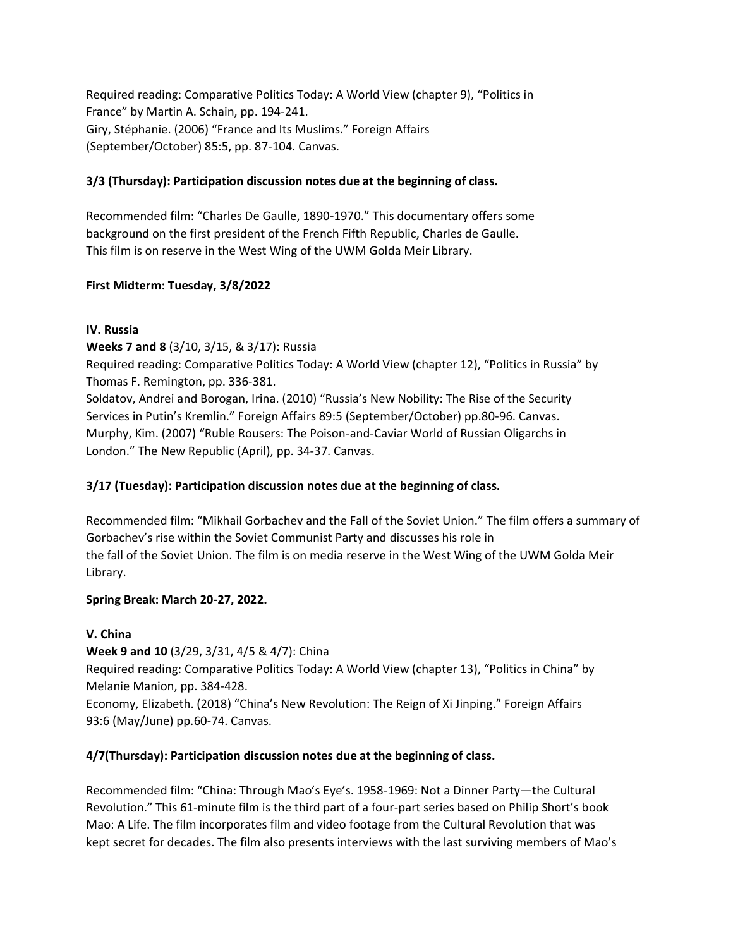Required reading: Comparative Politics Today: A World View (chapter 9), "Politics in France" by Martin A. Schain, pp. 194-241. Giry, Stéphanie. (2006) "France and Its Muslims." Foreign Affairs (September/October) 85:5, pp. 87-104. Canvas.

# **3/3 (Thursday): Participation discussion notes due at the beginning of class.**

Recommended film: "Charles De Gaulle, 1890-1970." This documentary offers some background on the first president of the French Fifth Republic, Charles de Gaulle. This film is on reserve in the West Wing of the UWM Golda Meir Library.

## **First Midterm: Tuesday, 3/8/2022**

#### **IV. Russia**

**Weeks 7 and 8** (3/10, 3/15, & 3/17): Russia

Required reading: Comparative Politics Today: A World View (chapter 12), "Politics in Russia" by Thomas F. Remington, pp. 336-381.

Soldatov, Andrei and Borogan, Irina. (2010) "Russia's New Nobility: The Rise of the Security Services in Putin's Kremlin." Foreign Affairs 89:5 (September/October) pp.80-96. Canvas. Murphy, Kim. (2007) "Ruble Rousers: The Poison-and-Caviar World of Russian Oligarchs in London." The New Republic (April), pp. 34-37. Canvas.

## **3/17 (Tuesday): Participation discussion notes due at the beginning of class.**

Recommended film: "Mikhail Gorbachev and the Fall of the Soviet Union." The film offers a summary of Gorbachev's rise within the Soviet Communist Party and discusses his role in the fall of the Soviet Union. The film is on media reserve in the West Wing of the UWM Golda Meir Library.

## **Spring Break: March 20-27, 2022.**

## **V. China**

## **Week 9 and 10** (3/29, 3/31, 4/5 & 4/7): China

Required reading: Comparative Politics Today: A World View (chapter 13), "Politics in China" by Melanie Manion, pp. 384-428.

Economy, Elizabeth. (2018) "China's New Revolution: The Reign of Xi Jinping." Foreign Affairs 93:6 (May/June) pp.60-74. Canvas.

## **4/7(Thursday): Participation discussion notes due at the beginning of class.**

Recommended film: "China: Through Mao's Eye's. 1958-1969: Not a Dinner Party—the Cultural Revolution." This 61-minute film is the third part of a four-part series based on Philip Short's book Mao: A Life. The film incorporates film and video footage from the Cultural Revolution that was kept secret for decades. The film also presents interviews with the last surviving members of Mao's